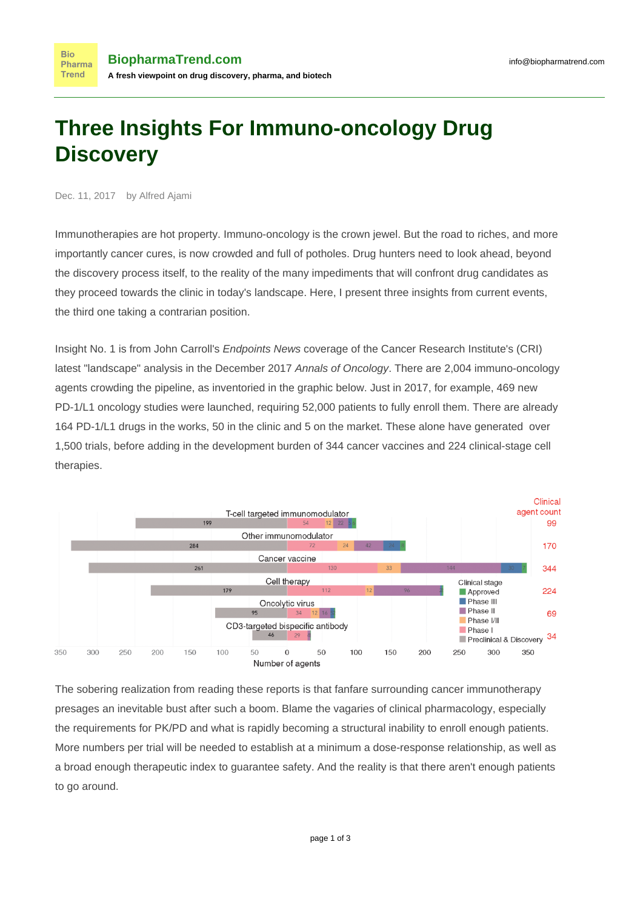## **Three Insights For Immuno-oncology Drug Discovery**

Dec. 11, 2017 by Alfred Ajami

**Bio** 

**Trend** 

Immunotherapies are hot property. Immuno-oncology is the crown jewel. But the road to riches, and more importantly cancer cures, is now crowded and full of potholes. Drug hunters need to look ahead, beyond the discovery process itself, to the reality of the many impediments that will confront drug candidates as they proceed towards the clinic in today's landscape. Here, I present three insights from current events, the third one taking a contrarian position.

Insight No. 1 is from John Carroll's [Endpoints News](http://bit.ly/2AC0Lcw) coverage of the Cancer Research Institute's (CRI) latest ["landscape" analysis](http://bit.ly/2jpUQxI) in the December 2017 Annals of Oncology. There are 2,004 immuno-oncology agents crowding the pipeline, as inventoried in the graphic below. Just in 2017, for example, 469 new PD-1/L1 oncology studies were launched, requiring 52,000 patients to fully enroll them. There are already 164 PD-1/L1 drugs in the works, 50 in the clinic and 5 on the market. These alone have generated over 1,500 trials, before adding in the development burden of 344 cancer vaccines and 224 clinical-stage cell therapies.



The sobering realization from reading these reports is that fanfare surrounding cancer immunotherapy presages an inevitable bust after such a boom. Blame the vagaries of clinical pharmacology, especially the requirements for PK/PD and what is rapidly becoming a structural inability to enroll enough patients. More numbers per trial will be needed to establish at a minimum a dose-response relationship, as well as a broad enough therapeutic index to guarantee safety. And the reality is that there aren't enough patients to go around.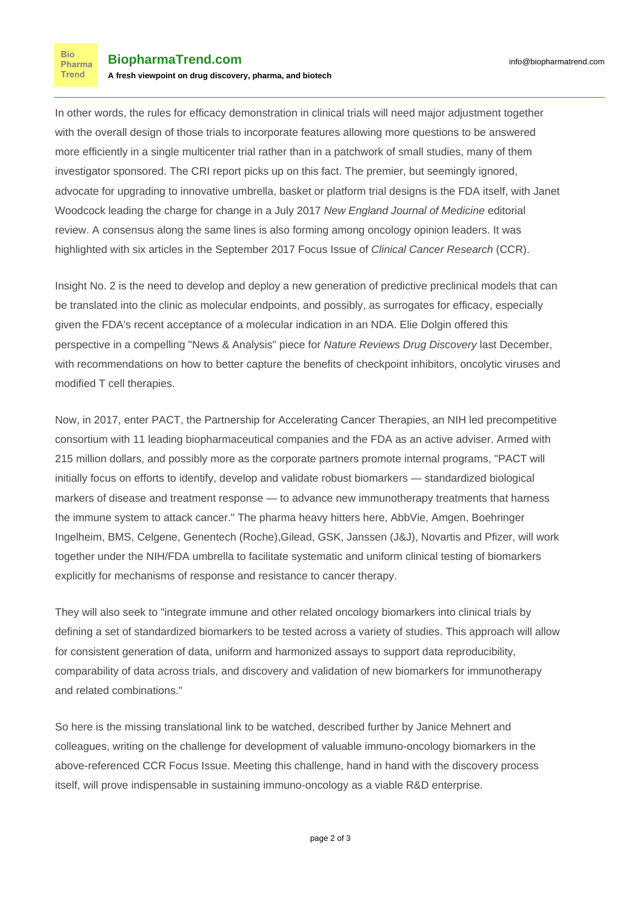In other words, the rules for efficacy demonstration in clinical trials will need major adjustment together with the overall design of those trials to incorporate features allowing more questions to be answered more efficiently in a single multicenter trial rather than in a patchwork of small studies, many of them investigator sponsored. The CRI report picks up on this fact. The premier, but seemingly ignored, advocate for upgrading to innovative umbrella, basket or platform trial designs is the FDA itself, with Janet Woodcock leading the charge for change in a July 2017 New England Journal of Medicine [editorial](http://bit.ly/2kPuFnE) [review.](http://bit.ly/2kPuFnE) A consensus along the same lines is also forming among oncology opinion leaders. It was [highlighted with six articles](http://bit.ly/2ydtJdT) in the September 2017 Focus Issue of Clinical Cancer Research (CCR).

Insight No. 2 is the need to develop and deploy a new generation of predictive preclinical models that can be translated into the clinic as molecular endpoints, and possibly, as surrogates for efficacy, especially given the FDA's recent acceptance of a molecular indication in an NDA. Elie Dolgin offered this perspective in a compelling ["News & Analysis" piece](http://bit.ly/2AbJLad) for Nature Reviews Drug Discovery last December, with recommendations on how to better capture the benefits of checkpoint inhibitors, oncolytic viruses and modified T cell therapies.

Now, in 2017, enter PACT, the Partnership for Accelerating Cancer Therapies, an NIH led [precompetitive](http://bit.ly/2ygnmIi) [consortium](http://bit.ly/2ygnmIi) with 11 leading biopharmaceutical companies and the FDA as an active adviser. Armed with 215 million dollars, and possibly more as the corporate partners promote internal programs, "PACT will initially focus on efforts to identify, develop and validate robust biomarkers — standardized biological markers of disease and treatment response — to advance new immunotherapy treatments that harness the immune system to attack cancer." The pharma heavy hitters here, AbbVie, Amgen, Boehringer Ingelheim, BMS, Celgene, Genentech (Roche),Gilead, GSK, Janssen (J&J), Novartis and Pfizer, will work together under the NIH/FDA umbrella to facilitate systematic and uniform clinical testing of biomarkers explicitly for mechanisms of response and resistance to cancer therapy.

They will also seek to "integrate immune and other related oncology biomarkers into clinical trials by defining a set of standardized biomarkers to be tested across a variety of studies. This approach will allow for consistent generation of data, uniform and harmonized assays to support data reproducibility, comparability of data across trials, and discovery and validation of new biomarkers for immunotherapy and related combinations."

So here is the missing translational link to be watched, described further by Janice Mehnert and colleagues, writing on the challenge for development of [valuable immuno-oncology biomarkers](http://bit.ly/2jkFQEG) in the above-referenced CCR Focus Issue. Meeting this challenge, hand in hand with the discovery process itself, will prove indispensable in sustaining immuno-oncology as a viable R&D enterprise.